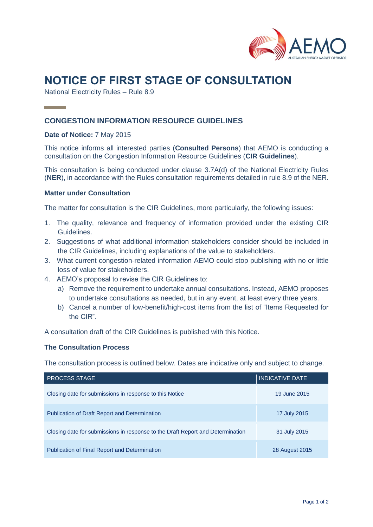

# **NOTICE OF FIRST STAGE OF CONSULTATION**

National Electricity Rules – Rule 8.9

## **CONGESTION INFORMATION RESOURCE GUIDELINES**

#### **Date of Notice:** 7 May 2015

This notice informs all interested parties (**Consulted Persons**) that AEMO is conducting a consultation on the Congestion Information Resource Guidelines (**CIR Guidelines**).

This consultation is being conducted under clause 3.7A(d) of the National Electricity Rules (**NER**), in accordance with the Rules consultation requirements detailed in rule 8.9 of the NER.

#### **Matter under Consultation**

The matter for consultation is the CIR Guidelines, more particularly, the following issues:

- 1. The quality, relevance and frequency of information provided under the existing CIR Guidelines.
- 2. Suggestions of what additional information stakeholders consider should be included in the CIR Guidelines, including explanations of the value to stakeholders.
- 3. What current congestion-related information AEMO could stop publishing with no or little loss of value for stakeholders.
- 4. AEMO's proposal to revise the CIR Guidelines to:
	- a) Remove the requirement to undertake annual consultations. Instead, AEMO proposes to undertake consultations as needed, but in any event, at least every three years.
	- b) Cancel a number of low-benefit/high-cost items from the list of "Items Requested for the CIR".

A consultation draft of the CIR Guidelines is published with this Notice.

#### **The Consultation Process**

The consultation process is outlined below. Dates are indicative only and subject to change.

| <b>PROCESS STAGE</b>                                                           | <u>INDI</u> CATIVE DATE |
|--------------------------------------------------------------------------------|-------------------------|
| Closing date for submissions in response to this Notice                        | 19 June 2015            |
| <b>Publication of Draft Report and Determination</b>                           | 17 July 2015            |
| Closing date for submissions in response to the Draft Report and Determination | 31 July 2015            |
| <b>Publication of Final Report and Determination</b>                           | 28 August 2015          |